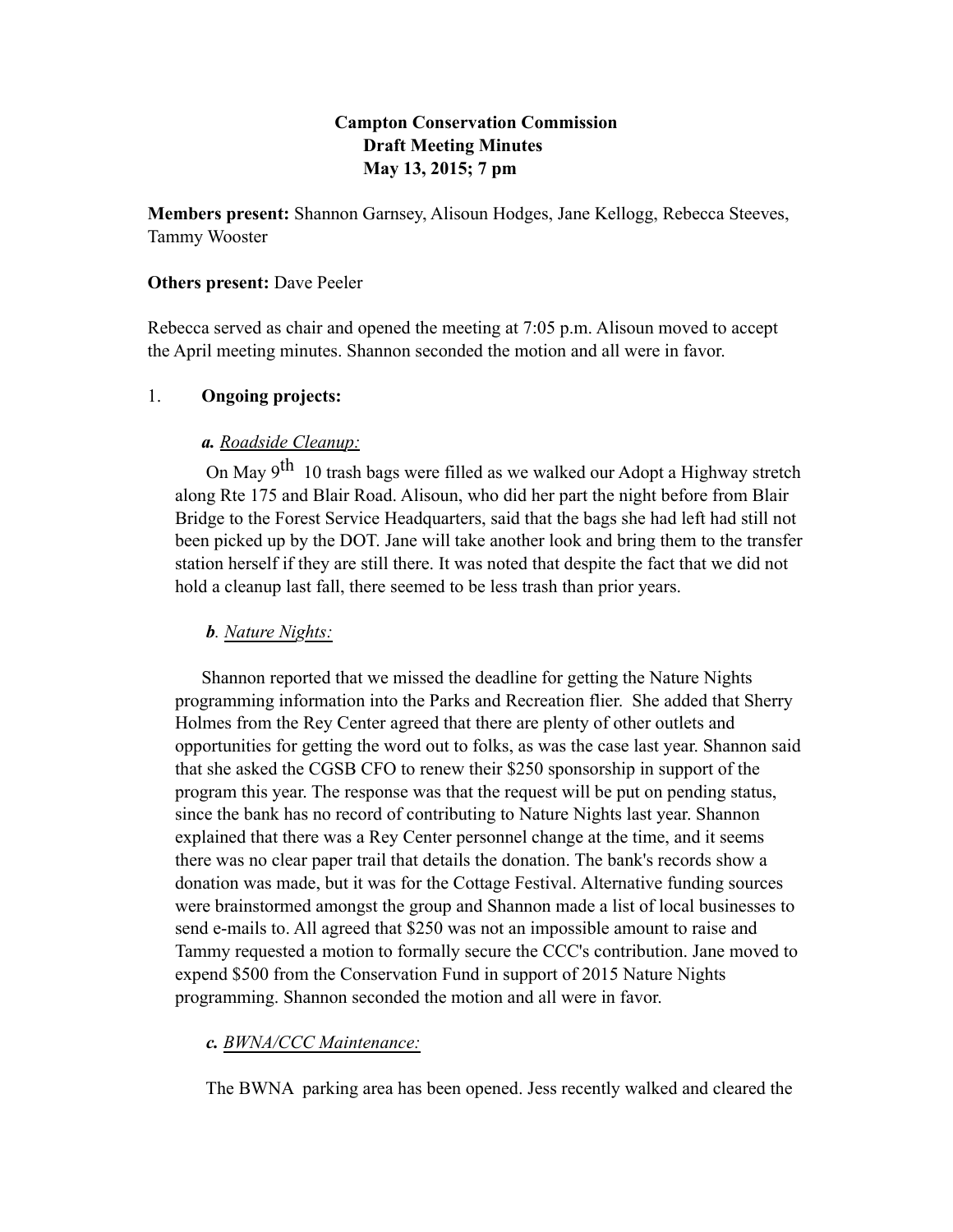# **Campton Conservation Commission Draft Meeting Minutes May 13, 2015; 7 pm**

**Members present:** Shannon Garnsey, Alisoun Hodges, Jane Kellogg, Rebecca Steeves, Tammy Wooster

# **Others present:** Dave Peeler

Rebecca served as chair and opened the meeting at 7:05 p.m. Alisoun moved to accept the April meeting minutes. Shannon seconded the motion and all were in favor.

# 1. **Ongoing projects:**

# *a. Roadside Cleanup:*

On May  $9<sup>th</sup>$  10 trash bags were filled as we walked our Adopt a Highway stretch along Rte 175 and Blair Road. Alisoun, who did her part the night before from Blair Bridge to the Forest Service Headquarters, said that the bags she had left had still not been picked up by the DOT. Jane will take another look and bring them to the transfer station herself if they are still there. It was noted that despite the fact that we did not hold a cleanup last fall, there seemed to be less trash than prior years.

# *b. Nature Nights:*

Shannon reported that we missed the deadline for getting the Nature Nights programming information into the Parks and Recreation flier. She added that Sherry Holmes from the Rey Center agreed that there are plenty of other outlets and opportunities for getting the word out to folks, as was the case last year. Shannon said that she asked the CGSB CFO to renew their \$250 sponsorship in support of the program this year. The response was that the request will be put on pending status, since the bank has no record of contributing to Nature Nights last year. Shannon explained that there was a Rey Center personnel change at the time, and it seems there was no clear paper trail that details the donation. The bank's records show a donation was made, but it was for the Cottage Festival. Alternative funding sources were brainstormed amongst the group and Shannon made a list of local businesses to send e-mails to. All agreed that \$250 was not an impossible amount to raise and Tammy requested a motion to formally secure the CCC's contribution. Jane moved to expend \$500 from the Conservation Fund in support of 2015 Nature Nights programming. Shannon seconded the motion and all were in favor.

# *c. BWNA/CCC Maintenance:*

The BWNA parking area has been opened. Jess recently walked and cleared the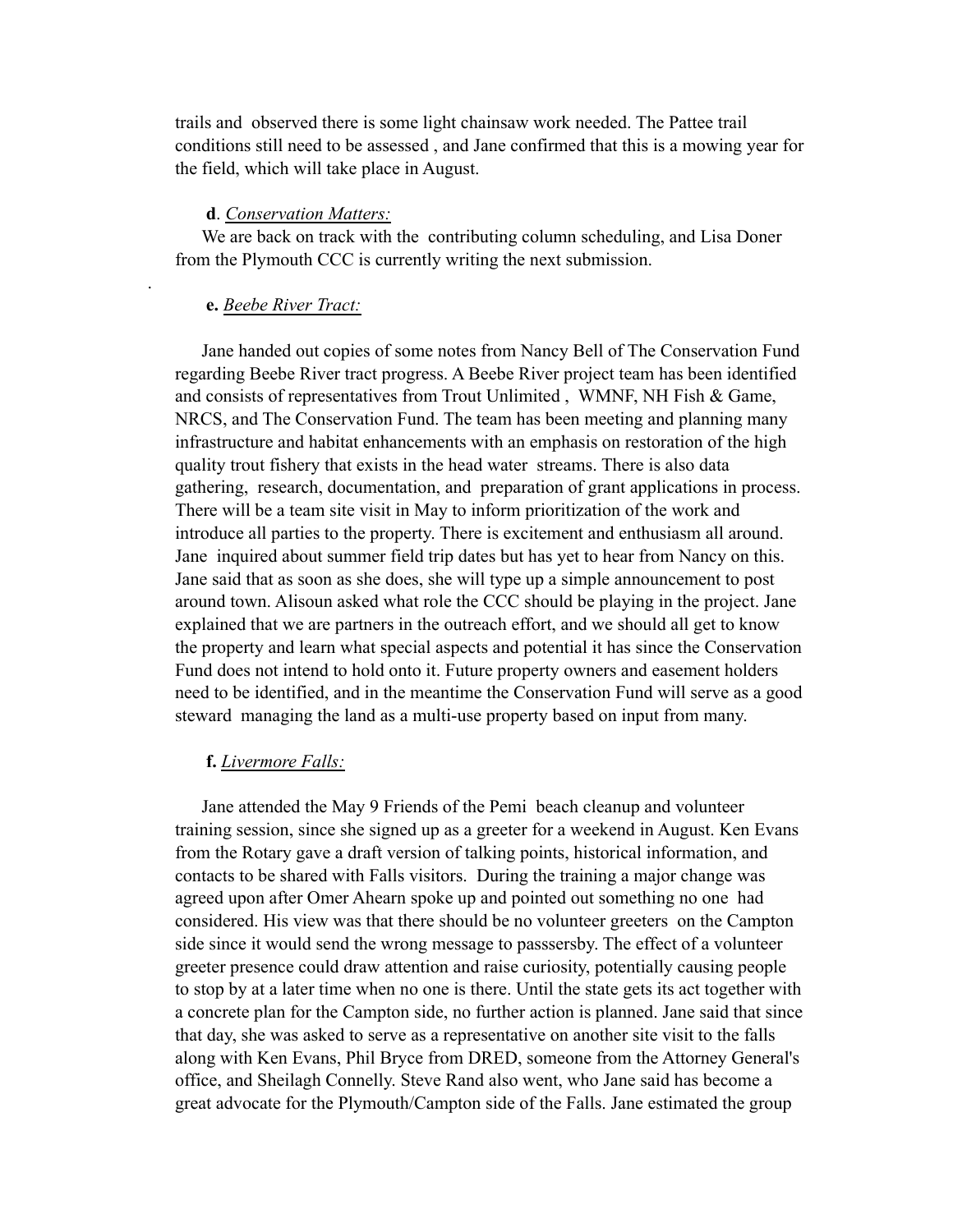trails and observed there is some light chainsaw work needed. The Pattee trail conditions still need to be assessed , and Jane confirmed that this is a mowing year for the field, which will take place in August.

#### **d**. *Conservation Matters:*

We are back on track with the contributing column scheduling, and Lisa Doner from the Plymouth CCC is currently writing the next submission.

#### **e.** *Beebe River Tract:*

.

Jane handed out copies of some notes from Nancy Bell of The Conservation Fund regarding Beebe River tract progress. A Beebe River project team has been identified and consists of representatives from Trout Unlimited , WMNF, NH Fish & Game, NRCS, and The Conservation Fund. The team has been meeting and planning many infrastructure and habitat enhancements with an emphasis on restoration of the high quality trout fishery that exists in the head water streams. There is also data gathering, research, documentation, and preparation of grant applications in process. There will be a team site visit in May to inform prioritization of the work and introduce all parties to the property. There is excitement and enthusiasm all around. Jane inquired about summer field trip dates but has yet to hear from Nancy on this. Jane said that as soon as she does, she will type up a simple announcement to post around town. Alisoun asked what role the CCC should be playing in the project. Jane explained that we are partners in the outreach effort, and we should all get to know the property and learn what special aspects and potential it has since the Conservation Fund does not intend to hold onto it. Future property owners and easement holders need to be identified, and in the meantime the Conservation Fund will serve as a good steward managing the land as a multi-use property based on input from many.

# **f.** *Livermore Falls:*

Jane attended the May 9 Friends of the Pemi beach cleanup and volunteer training session, since she signed up as a greeter for a weekend in August. Ken Evans from the Rotary gave a draft version of talking points, historical information, and contacts to be shared with Falls visitors. During the training a major change was agreed upon after Omer Ahearn spoke up and pointed out something no one had considered. His view was that there should be no volunteer greeters on the Campton side since it would send the wrong message to passsersby. The effect of a volunteer greeter presence could draw attention and raise curiosity, potentially causing people to stop by at a later time when no one is there. Until the state gets its act together with a concrete plan for the Campton side, no further action is planned. Jane said that since that day, she was asked to serve as a representative on another site visit to the falls along with Ken Evans, Phil Bryce from DRED, someone from the Attorney General's office, and Sheilagh Connelly. Steve Rand also went, who Jane said has become a great advocate for the Plymouth/Campton side of the Falls. Jane estimated the group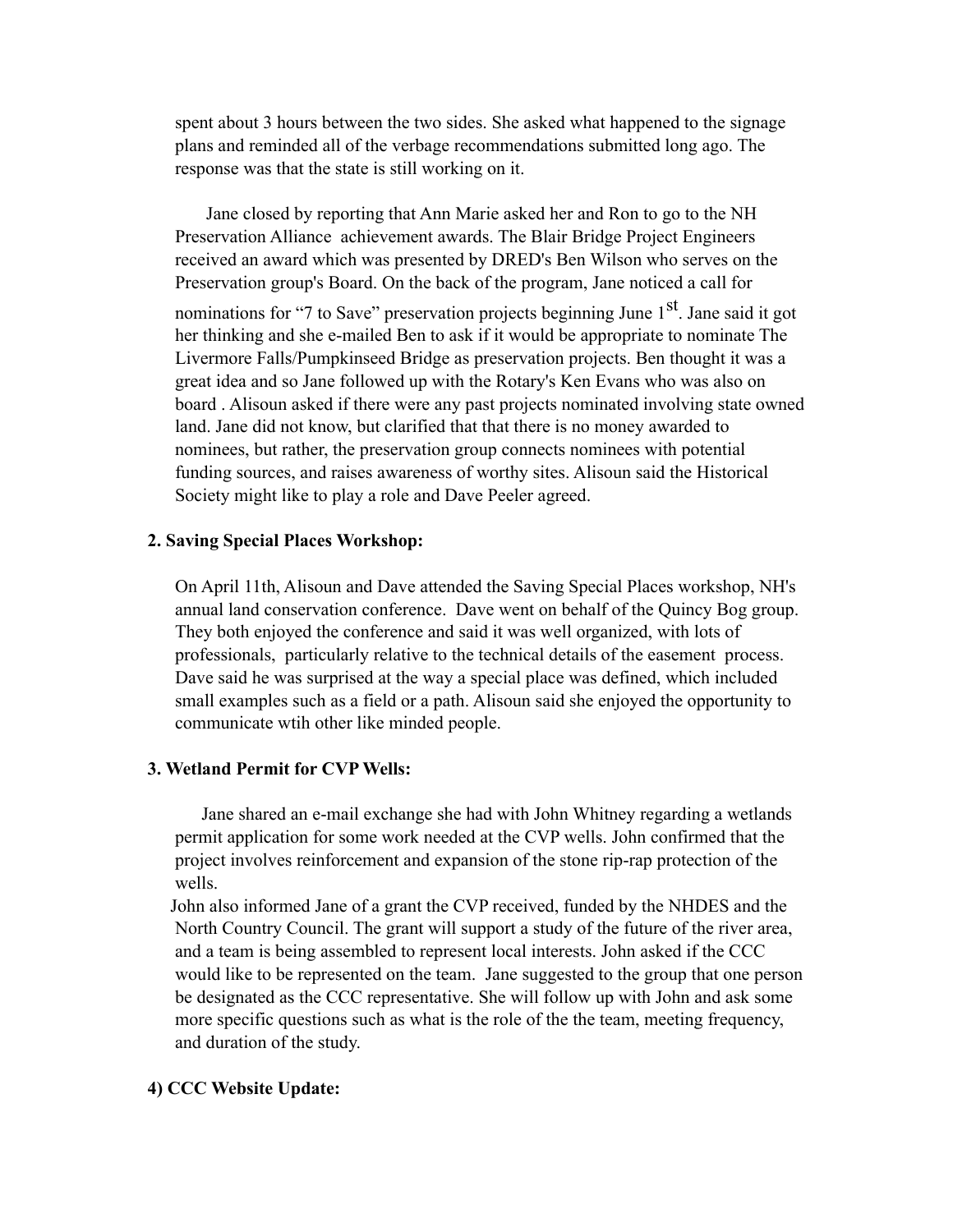spent about 3 hours between the two sides. She asked what happened to the signage plans and reminded all of the verbage recommendations submitted long ago. The response was that the state is still working on it.

 Jane closed by reporting that Ann Marie asked her and Ron to go to the NH Preservation Alliance achievement awards. The Blair Bridge Project Engineers received an award which was presented by DRED's Ben Wilson who serves on the Preservation group's Board. On the back of the program, Jane noticed a call for

nominations for "7 to Save" preservation projects beginning June 1<sup>st</sup>. Jane said it got her thinking and she e-mailed Ben to ask if it would be appropriate to nominate The Livermore Falls/Pumpkinseed Bridge as preservation projects. Ben thought it was a great idea and so Jane followed up with the Rotary's Ken Evans who was also on board . Alisoun asked if there were any past projects nominated involving state owned land. Jane did not know, but clarified that that there is no money awarded to nominees, but rather, the preservation group connects nominees with potential funding sources, and raises awareness of worthy sites. Alisoun said the Historical Society might like to play a role and Dave Peeler agreed.

### **2. Saving Special Places Workshop:**

On April 11th, Alisoun and Dave attended the Saving Special Places workshop, NH's annual land conservation conference. Dave went on behalf of the Quincy Bog group. They both enjoyed the conference and said it was well organized, with lots of professionals, particularly relative to the technical details of the easement process. Dave said he was surprised at the way a special place was defined, which included small examples such as a field or a path. Alisoun said she enjoyed the opportunity to communicate wtih other like minded people.

# **3. Wetland Permit for CVP Wells:**

Jane shared an e-mail exchange she had with John Whitney regarding a wetlands permit application for some work needed at the CVP wells. John confirmed that the project involves reinforcement and expansion of the stone rip-rap protection of the wells.

 John also informed Jane of a grant the CVP received, funded by the NHDES and the North Country Council. The grant will support a study of the future of the river area, and a team is being assembled to represent local interests. John asked if the CCC would like to be represented on the team. Jane suggested to the group that one person be designated as the CCC representative. She will follow up with John and ask some more specific questions such as what is the role of the the team, meeting frequency, and duration of the study.

# **4) CCC Website Update:**